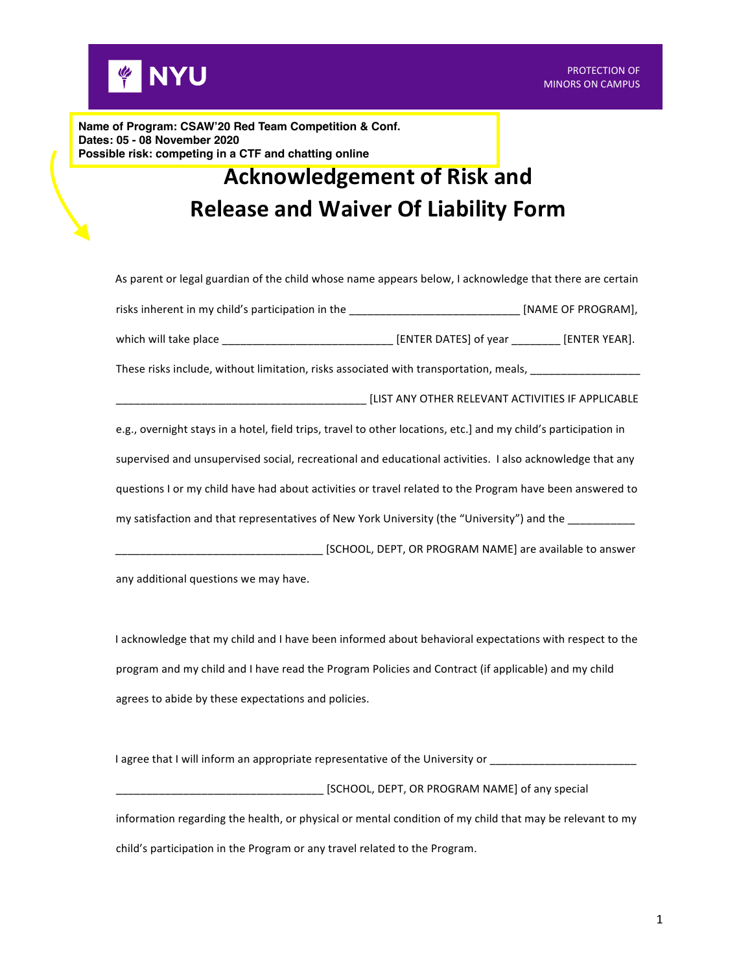**Name of Program: CSAW'20 Red Team Competition & Conf. Dates: 05 - 08 November 2020 Possible risk: competing in a CTF and chatting online** 

## **Acknowledgement of Risk and Release and Waiver Of Liability Form**

| As parent or legal guardian of the child whose name appears below, I acknowledge that there are certain         |                                                         |
|-----------------------------------------------------------------------------------------------------------------|---------------------------------------------------------|
|                                                                                                                 |                                                         |
| which will take place ___________________________________ [ENTER DATES] of year ________ [ENTER YEAR].          |                                                         |
| These risks include, without limitation, risks associated with transportation, meals, ___________________       |                                                         |
|                                                                                                                 | [LIST ANY OTHER RELEVANT ACTIVITIES IF APPLICABLE       |
| e.g., overnight stays in a hotel, field trips, travel to other locations, etc.] and my child's participation in |                                                         |
| supervised and unsupervised social, recreational and educational activities. I also acknowledge that any        |                                                         |
| questions I or my child have had about activities or travel related to the Program have been answered to        |                                                         |
| my satisfaction and that representatives of New York University (the "University") and the ________             |                                                         |
|                                                                                                                 | [SCHOOL, DEPT, OR PROGRAM NAME] are available to answer |
| a constructed altabance of the construction of the construction of the construction of the construction of the  |                                                         |

any additional questions we may have.

I acknowledge that my child and I have been informed about behavioral expectations with respect to the program and my child and I have read the Program Policies and Contract (if applicable) and my child agrees to abide by these expectations and policies.

I agree that I will inform an appropriate representative of the University or \_\_\_\_ \_\_ [SCHOOL, DEPT, OR PROGRAM NAME] of any special information regarding the health, or physical or mental condition of my child that may be relevant to my child's participation in the Program or any travel related to the Program.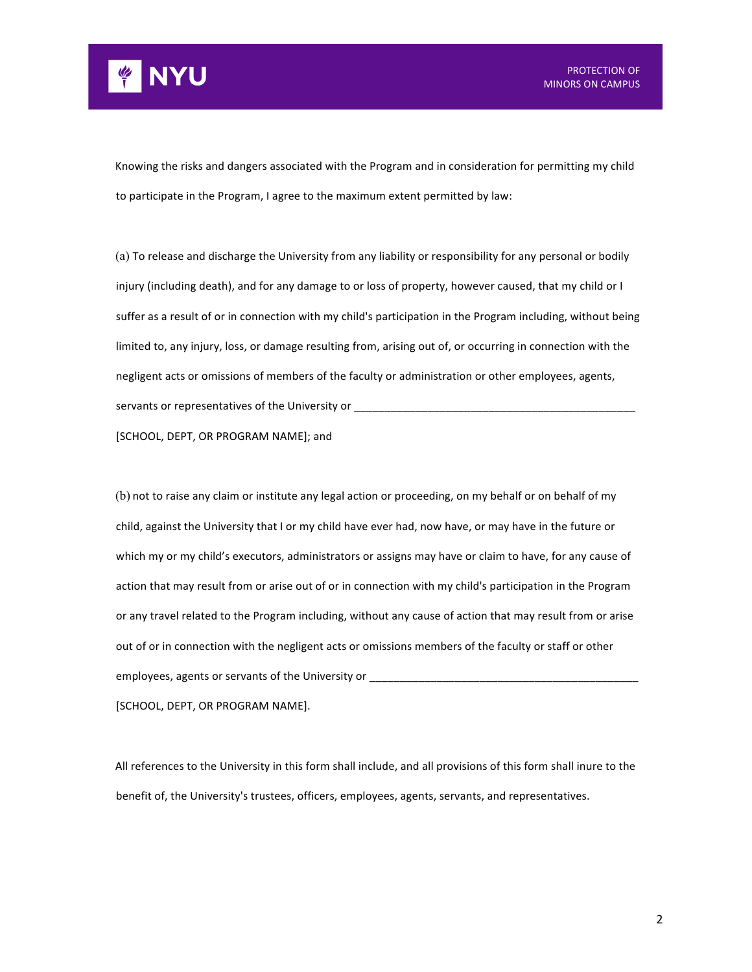

Knowing the risks and dangers associated with the Program and in consideration for permitting my child to participate in the Program, I agree to the maximum extent permitted by law:

(a) To release and discharge the University from any liability or responsibility for any personal or bodily injury (including death), and for any damage to or loss of property, however caused, that my child or I suffer as a result of or in connection with my child's participation in the Program including, without being limited to, any injury, loss, or damage resulting from, arising out of, or occurring in connection with the negligent acts or omissions of members of the faculty or administration or other employees, agents, servants or representatives of the University or

[SCHOOL, DEPT, OR PROGRAM NAME]; and

(b) not to raise any claim or institute any legal action or proceeding, on my behalf or on behalf of my child, against the University that I or my child have ever had, now have, or may have in the future or which my or my child's executors, administrators or assigns may have or claim to have, for any cause of action that may result from or arise out of or in connection with my child's participation in the Program or any travel related to the Program including, without any cause of action that may result from or arise out of or in connection with the negligent acts or omissions members of the faculty or staff or other employees, agents or servants of the University or \_\_\_\_\_\_\_\_\_\_\_\_\_\_\_\_\_\_\_\_\_\_\_\_\_\_\_\_\_

[SCHOOL, DEPT, OR PROGRAM NAME].

All references to the University in this form shall include, and all provisions of this form shall inure to the benefit of, the University's trustees, officers, employees, agents, servants, and representatives.